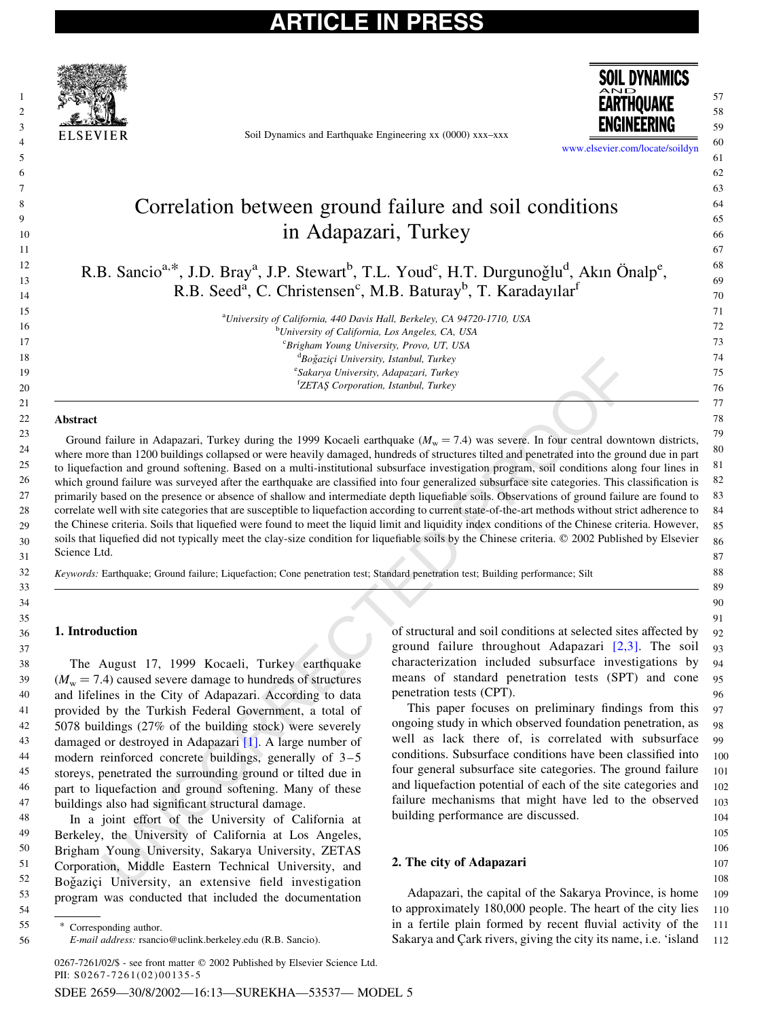

Soil Dynamics and Earthquake Engineering xx (0000) xxx–xxx



[www.elsevier.com/locate/soildyn](http://www.elsevier.com/locate/soildyn) 

 

### Correlation between ground failure and soil conditions in Adapazari, Turkey

R.B. Sancio<sup>a,\*</sup>, J.D. Bray<sup>a</sup>, J.P. Stewart<sup>b</sup>, T.L. Youd<sup>c</sup>, H.T. Durgunoğlu<sup>d</sup>, Akın Önalp<sup>e</sup>, R.B. Seed<sup>a</sup>, C. Christensen<sup>c</sup>, M.B. Baturay<sup>b</sup>, T. Karadayılar<sup>f</sup>

> <sup>a</sup>University of California, 440 Davis Hall, Berkeley, CA 94720-1710, USA <sup>b</sup>University of California, Los Angeles, CA, USA <sup>c</sup>Brigham Young University, Provo, UT, USA <sup>d</sup>Boğaziçi University, Istanbul, Turkey e<br>Sakarya University, Adapazari, Turkey <sup>f</sup>ZETAŞ Corporation, Istanbul, Turkey

#### Abstract

Theorial Conservation Maria Conservation (The Theorial Conservation State Conservation (The Conservation Conservation Conservation (The Conservation Conservation Conservation (The Conservation Conservation Conservation (T Ground failure in Adapazari, Turkey during the 1999 Kocaeli earthquake  $(M_w = 7.4)$  was severe. In four central downtown districts, where more than 1200 buildings collapsed or were heavily damaged, hundreds of structures tilted and penetrated into the ground due in part to liquefaction and ground softening. Based on a multi-institutional subsurface investigation program, soil conditions along four lines in which ground failure was surveyed after the earthquake are classified into four generalized subsurface site categories. This classification is primarily based on the presence or absence of shallow and intermediate depth liquefiable soils. Observations of ground failure are found to correlate well with site categories that are susceptible to liquefaction according to current state-of-the-art methods without strict adherence to the Chinese criteria. Soils that liquefied were found to meet the liquid limit and liquidity index conditions of the Chinese criteria. However, soils that liquefied did not typically meet the clay-size condition for liquefiable soils by the Chinese criteria. © 2002 Published by Elsevier Science Ltd. 

Keywords: Earthquake; Ground failure; Liquefaction; Cone penetration test; Standard penetration test; Building performance; Silt

### 1. Introduction

The August 17, 1999 Kocaeli, Turkey earthquake  $(M<sub>w</sub> = 7.4)$  caused severe damage to hundreds of structures and lifelines in the City of Adapazari. According to data provided by the Turkish Federal Government, a total of 5078 buildings (27% of the building stock) were severely damaged or destroyed in Adapazari [1]. A large number of modern reinforced concrete buildings, generally of 3–5 storeys, penetrated the surrounding ground or tilted due in part to liquefaction and ground softening. Many of these buildings also had significant structural damage.

In a joint effort of the University of California at Berkeley, the University of California at Los Angeles, Brigham Young University, Sakarya University, ZETAS Corporation, Middle Eastern Technical University, and Boğaziçi University, an extensive field investigation program was conducted that included the documentation 

 

0267-7261/02/\$ - see front matter © 2002 Published by Elsevier Science Ltd. PII:  $S$ 0267-7261(02)00135-5

SDEE 2659—30/8/2002—16:13—SUREKHA—53537— MODEL 5

of structural and soil conditions at selected sites affected by ground failure throughout Adapazari  $[2,3]$ . The soil characterization included subsurface investigations by means of standard penetration tests (SPT) and cone penetration tests (CPT). 

This paper focuses on preliminary findings from this ongoing study in which observed foundation penetration, as well as lack there of, is correlated with subsurface conditions. Subsurface conditions have been classified into four general subsurface site categories. The ground failure and liquefaction potential of each of the site categories and failure mechanisms that might have led to the observed building performance are discussed. 

### 2. The city of Adapazari

Adapazari, the capital of the Sakarya Province, is home to approximately 180,000 people. The heart of the city lies in a fertile plain formed by recent fluvial activity of the Sakarya and Çark rivers, giving the city its name, i.e. 'island 

Corresponding author.

E-mail address: rsancio@uclink.berkeley.edu (R.B. Sancio).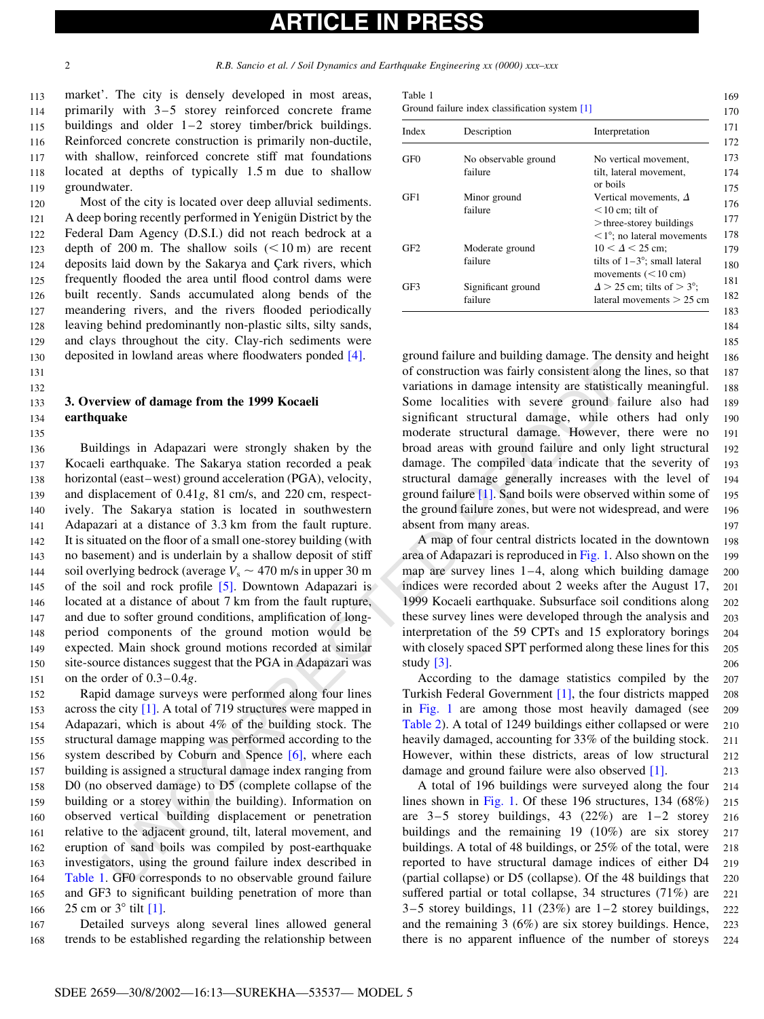131 132

135

# ARTICLE IN PRESS

<span id="page-1-0"></span>2 R.B. Sancio et al. / Soil Dynamics and Earthquake Engineering xx (0000) xxx–xxx

market'. The city is densely developed in most areas, primarily with 3–5 storey reinforced concrete frame buildings and older  $1-2$  storey timber/brick buildings. Reinforced concrete construction is primarily non-ductile, with shallow, reinforced concrete stiff mat foundations located at depths of typically 1.5 m due to shallow groundwater. 113 114 115 116 117 118 119

Most of the city is located over deep alluvial sediments. A deep boring recently performed in Yenigun District by the Federal Dam Agency (D.S.I.) did not reach bedrock at a depth of 200 m. The shallow soils  $(< 10 \text{ m})$  are recent deposits laid down by the Sakarya and Cark rivers, which frequently flooded the area until flood control dams were built recently. Sands accumulated along bends of the meandering rivers, and the rivers flooded periodically leaving behind predominantly non-plastic silts, silty sands, and clays throughout the city. Clay-rich sediments were deposited in lowland areas where floodwaters ponded [\[4\].](#page-9-0) 120 121 122 123 124 125 126 127 128 129 130

#### 3. Overview of damage from the 1999 Kocaeli earthquake 133 134

ed in towarda areas where holdwaters pointed in (<br>
or construction was failing consistent along the compare in the 1999 Kocardi<br>
variations in damage intensity are statistical<br>
some localities with severe ground failing<br> Buildings in Adapazari were strongly shaken by the Kocaeli earthquake. The Sakarya station recorded a peak horizontal (east–west) ground acceleration (PGA), velocity, and displacement of 0.41g, 81 cm/s, and 220 cm, respectively. The Sakarya station is located in southwestern Adapazari at a distance of 3.3 km from the fault rupture. It is situated on the floor of a small one-storey building (with no basement) and is underlain by a shallow deposit of stiff soil overlying bedrock (average  $V_s \sim 470$  m/s in upper 30 m of the soil and rock profile [5]. Downtown Adapazari is located at a distance of about 7 km from the fault rupture, and due to softer ground conditions, amplification of longperiod components of the ground motion would be expected. Main shock ground motions recorded at similar site-source distances suggest that the PGA in Adapazari was on the order of 0.3–0.4g. 136 137 138 139 140 141 142 143 144 145 146 147 148 149 150 151

Rapid damage surveys were performed along four lines across the city [1]. A total of 719 structures were mapped in Adapazari, which is about 4% of the building stock. The structural damage mapping was performed according to the system described by Coburn and Spence [6], where each building is assigned a structural damage index ranging from D0 (no observed damage) to D5 (complete collapse of the building or a storey within the building). Information on observed vertical building displacement or penetration relative to the adjacent ground, tilt, lateral movement, and eruption of sand boils was compiled by post-earthquake investigators, using the ground failure index described in Table 1. GF0 corresponds to no observable ground failure and GF3 to significant building penetration of more than 25 cm or  $3^\circ$  tilt [\[1\].](#page-8-0) 152 153 154 155 156 157 158 159 160 161 162 163 164 165 166

Detailed surveys along several lines allowed general trends to be established regarding the relationship between 167 168

| Index           | Description          | Interpretation                       |
|-----------------|----------------------|--------------------------------------|
| GF <sub>0</sub> | No observable ground | No vertical movement,                |
|                 | failure              | tilt, lateral movement,              |
|                 |                      | or boils                             |
| GF1             | Minor ground         | Vertical movements, $\Delta$         |
|                 | failure              | $<$ 10 cm; tilt of                   |
|                 |                      | $>$ three-storey buildings           |
|                 |                      | $\leq$ 1°; no lateral movements      |
| GF2             | Moderate ground      | $10 < \Delta < 25$ cm:               |
|                 | failure              | tilts of $1-3^\circ$ ; small lateral |
|                 |                      | movements $(< 10 cm)$                |
| GF3             | Significant ground   | $\Delta$ > 25 cm; tilts of > 3°;     |
|                 | failure              | lateral movements $> 25$ cm          |

184 185

ground failure and building damage. The density and height of construction was fairly consistent along the lines, so that variations in damage intensity are statistically meaningful. Some localities with severe ground failure also had significant structural damage, while others had only moderate structural damage. However, there were no broad areas with ground failure and only light structural damage. The compiled data indicate that the severity of structural damage generally increases with the level of ground failure [1]. Sand boils were observed within some of the ground failure zones, but were not widespread, and were absent from many areas. 186 187 188 189 190 191 192 193 194 195 196 197

A map of four central districts located in the downtown area of Adapazari is reproduced in Fig. 1. Also shown on the map are survey lines 1–4, along which building damage indices were recorded about 2 weeks after the August 17, 1999 Kocaeli earthquake. Subsurface soil conditions along these survey lines were developed through the analysis and interpretation of the 59 CPTs and 15 exploratory borings with closely spaced SPT performed along these lines for this study [3]. 198 199 200 201 202 203 204 205 206

According to the damage statistics compiled by the Turkish Federal Government [1], the four districts mapped in Fig. 1 are among those most heavily damaged (see Table 2). A total of 1249 buildings either collapsed or were heavily damaged, accounting for 33% of the building stock. However, within these districts, areas of low structural damage and ground failure were also observed [\[1\]](#page-8-0). 207 208 209 210 211  $212$ 213

A total of 196 buildings were surveyed along the four lines shown in Fig. 1. Of these 196 structures, 134 (68%) are  $3-5$  storey buildings, 43 (22%) are  $1-2$  storey buildings and the remaining 19 (10%) are six storey buildings. A total of 48 buildings, or 25% of the total, were reported to have structural damage indices of either D4 (partial collapse) or D5 (collapse). Of the 48 buildings that suffered partial or total collapse, 34 structures (71%) are  $3-5$  storey buildings, 11 (23%) are  $1-2$  storey buildings, and the remaining 3 (6%) are six storey buildings. Hence, there is no apparent influence of the number of storeys 214 215 216 217 218 219 220 221 222  $223$ 224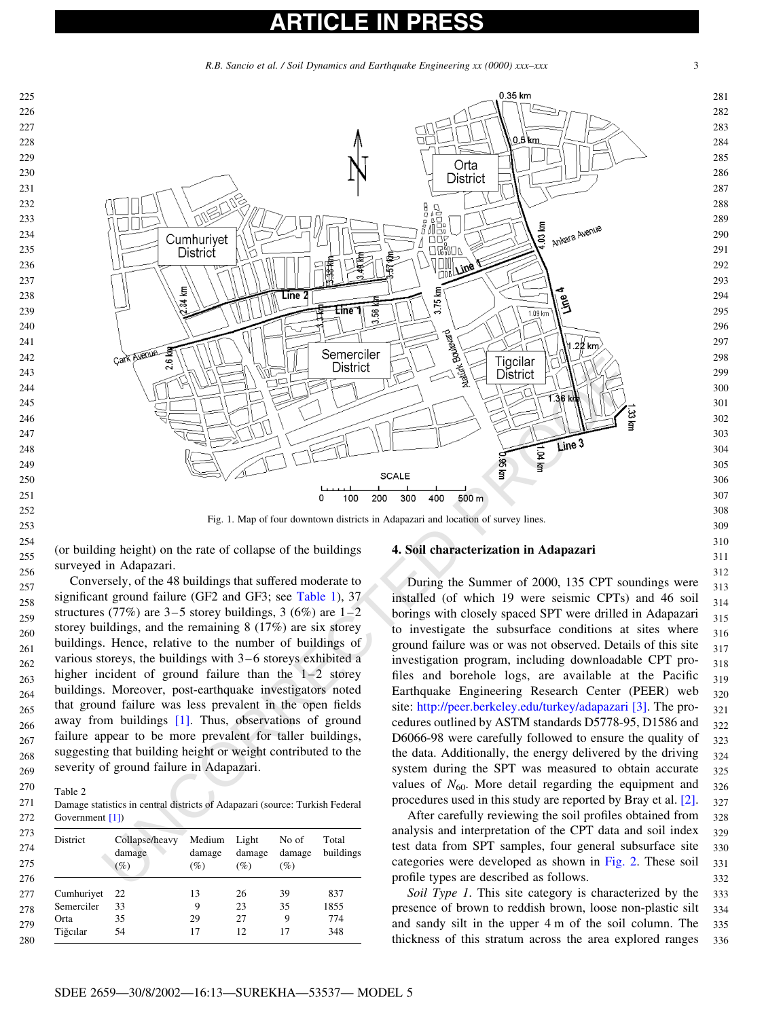### ICLE IN

R.B. Sancio et al. / Soil Dynamics and Earthquake Engineering xx (0000) xxx–xxx 3

<span id="page-2-0"></span>

(or building height) on the rate of collapse of the buildings surveyed in Adapazari. 

Conversely, of the 48 buildings that suffered moderate to significant ground failure (GF2 and GF3; see Table 1), 37 structures (77%) are  $3-5$  storey buildings, 3 (6%) are  $1-2$ storey buildings, and the remaining 8 (17%) are six storey buildings. Hence, relative to the number of buildings of various storeys, the buildings with 3–6 storeys exhibited a higher incident of ground failure than the  $1-2$  storey buildings. Moreover, post-earthquake investigators noted that ground failure was less prevalent in the open fields away from buildings [1]. Thus, observations of ground failure appear to be more prevalent for taller buildings, suggesting that building height or weight contributed to the severity of ground failure in Adapazari. 

Table 2 

Damage statistics in central districts of Adapazari (source: Turkish Federal Government [1]) 

| District   | Collapse/heavy<br>damage<br>(%) | Medium<br>damage<br>$(\%)$ | Light<br>damage<br>$(\%)$ | No of<br>damage<br>(%) | Total<br>buildings |
|------------|---------------------------------|----------------------------|---------------------------|------------------------|--------------------|
| Cumhuriyet | 22                              | 13                         | 26                        | 39                     | 837                |
| Semerciler | 33                              | 9                          | 23                        | 35                     | 1855               |
| Orta       | 35                              | 29                         | 27                        | 9                      | 774                |
| Tiğcılar   | 54                              | 17                         | 12                        | 17                     | 348                |

#### 4. Soil characterization in Adapazari

During the Summer of 2000, 135 CPT soundings were installed (of which 19 were seismic CPTs) and 46 soil borings with closely spaced SPT were drilled in Adapazari to investigate the subsurface conditions at sites where ground failure was or was not observed. Details of this site investigation program, including downloadable CPT profiles and borehole logs, are available at the Pacific Earthquake Engineering Research Center (PEER) web site: http://peer.berkeley.edu/turkey/adapazari [\[3\]](#page-8-0). The procedures outlined by ASTM standards D5778-95, D1586 and D6066-98 were carefully followed to ensure the quality of the data. Additionally, the energy delivered by the driving system during the SPT was measured to obtain accurate values of  $N_{60}$ . More detail regarding the equipment and procedures used in this study are reported by Bray et al. [\[2\]](#page-8-0). 

After carefully reviewing the soil profiles obtained from analysis and interpretation of the CPT data and soil index test data from SPT samples, four general subsurface site categories were developed as shown in [Fig. 2](#page-3-0). These soil profile types are described as follows. 

Soil Type 1. This site category is characterized by the presence of brown to reddish brown, loose non-plastic silt and sandy silt in the upper 4 m of the soil column. The thickness of this stratum across the area explored ranges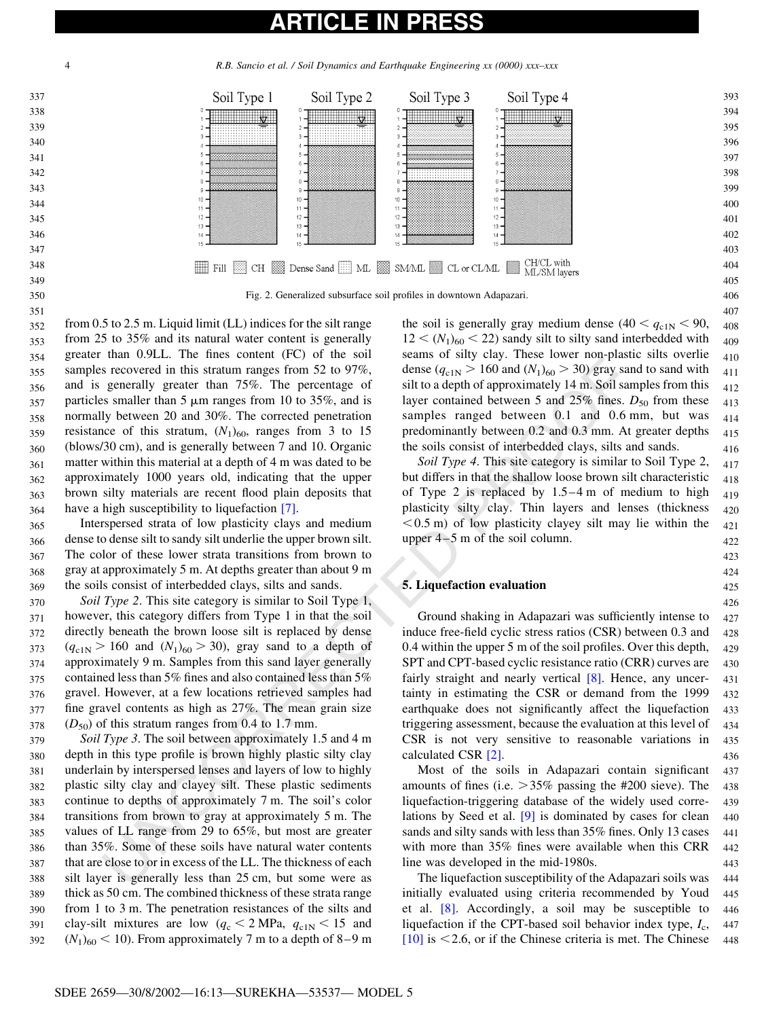4 R.B. Sancio et al. / Soil Dynamics and Earthquake Engineering xx (0000) xxx–xxx

<span id="page-3-0"></span>

than 0.92.1. The lines Concil of Cy the solution of the solution of the system of the system of the system of the percentage of silt to a depth of approximately 14 m S60 km and 0.65 km and 0.67 km percentage of the percen from 25 to 35% and its natural water content is generally greater than 0.9LL. The fines content (FC) of the soil samples recovered in this stratum ranges from 52 to 97%, and is generally greater than 75%. The percentage of particles smaller than  $5 \mu m$  ranges from 10 to 35%, and is normally between 20 and 30%. The corrected penetration resistance of this stratum,  $(N_1)_{60}$ , ranges from 3 to 15 (blows/30 cm), and is generally between 7 and 10. Organic matter within this material at a depth of 4 m was dated to be approximately 1000 years old, indicating that the upper brown silty materials are recent flood plain deposits that have a high susceptibility to liquefaction [7]. 352 353 354 355 356 357 358 359 360 361 362 363 364

Interspersed strata of low plasticity clays and medium dense to dense silt to sandy silt underlie the upper brown silt. The color of these lower strata transitions from brown to gray at approximately 5 m. At depths greater than about 9 m the soils consist of interbedded clays, silts and sands. 365 366 367 368 369

Soil Type 2. This site category is similar to Soil Type 1, however, this category differs from Type 1 in that the soil directly beneath the brown loose silt is replaced by dense  $(q_{c1N} > 160 \text{ and } (N_1)_{60} > 30)$ , gray sand to a depth of approximately 9 m. Samples from this sand layer generally contained less than 5% fines and also contained less than 5% gravel. However, at a few locations retrieved samples had fine gravel contents as high as 27%. The mean grain size  $(D_{50})$  of this stratum ranges from 0.4 to 1.7 mm. 370 371 372 373 374 375 376 377 378

Soil Type 3. The soil between approximately 1.5 and 4 m depth in this type profile is brown highly plastic silty clay underlain by interspersed lenses and layers of low to highly plastic silty clay and clayey silt. These plastic sediments continue to depths of approximately 7 m. The soil's color transitions from brown to gray at approximately 5 m. The values of LL range from 29 to 65%, but most are greater than 35%. Some of these soils have natural water contents that are close to or in excess of the LL. The thickness of each silt layer is generally less than 25 cm, but some were as thick as 50 cm. The combined thickness of these strata range from 1 to 3 m. The penetration resistances of the silts and clay-silt mixtures are low  $(q_c < 2 \text{ MPa}, q_{c1N} < 15 \text{ and }$  $(N_1)_{60}$  < 10). From approximately 7 m to a depth of 8–9 m 379 380 381 382 383 384 385 386 387 388 389 390 391 392

the soil is generally gray medium dense  $(40 < q_{c1N} < 90,$  $12 < (N_1)_{60} < 22$ ) sandy silt to silty sand interbedded with seams of silty clay. These lower non-plastic silts overlie dense  $(q_{c1N} > 160$  and  $(N_1)_{60} > 30)$  gray sand to sand with silt to a depth of approximately 14 m. Soil samples from this layer contained between 5 and 25% fines.  $D_{50}$  from these samples ranged between 0.1 and 0.6 mm, but was predominantly between 0.2 and 0.3 mm. At greater depths the soils consist of interbedded clays, silts and sands. 409 410 411 412 413 414 415 416

Soil Type 4. This site category is similar to Soil Type 2, but differs in that the shallow loose brown silt characteristic of Type 2 is replaced by 1.5–4 m of medium to high plasticity silty clay. Thin layers and lenses (thickness  $< 0.5$  m) of low plasticity clayey silt may lie within the upper 4–5 m of the soil column. 417 418 419  $420$ 421  $422$ 

#### 5. Liquefaction evaluation

Ground shaking in Adapazari was sufficiently intense to induce free-field cyclic stress ratios (CSR) between 0.3 and 0.4 within the upper 5 m of the soil profiles. Over this depth, SPT and CPT-based cyclic resistance ratio (CRR) curves are fairly straight and nearly vertical  $[8]$ . Hence, any uncertainty in estimating the CSR or demand from the 1999 earthquake does not significantly affect the liquefaction triggering assessment, because the evaluation at this level of CSR is not very sensitive to reasonable variations in calculated CSR [2]. 427 428 429 430 431 432 433 434 435 436

Most of the soils in Adapazari contain significant amounts of fines (i.e.  $>35\%$  passing the #200 sieve). The liquefaction-triggering database of the widely used correlations by Seed et al.  $[9]$  is dominated by cases for clean sands and silty sands with less than 35% fines. Only 13 cases with more than 35% fines were available when this CRR line was developed in the mid-1980s. 437 438 439 440 441 442 443

The liquefaction susceptibility of the Adapazari soils was initially evaluated using criteria recommended by Youd et al. [\[8\]](#page-9-0). Accordingly, a soil may be susceptible to liquefaction if the CPT-based soil behavior index type,  $I_c$ , [\[10\]](#page-9-0) is  $\leq$  2.6, or if the Chinese criteria is met. The Chinese 444 445 446 447 448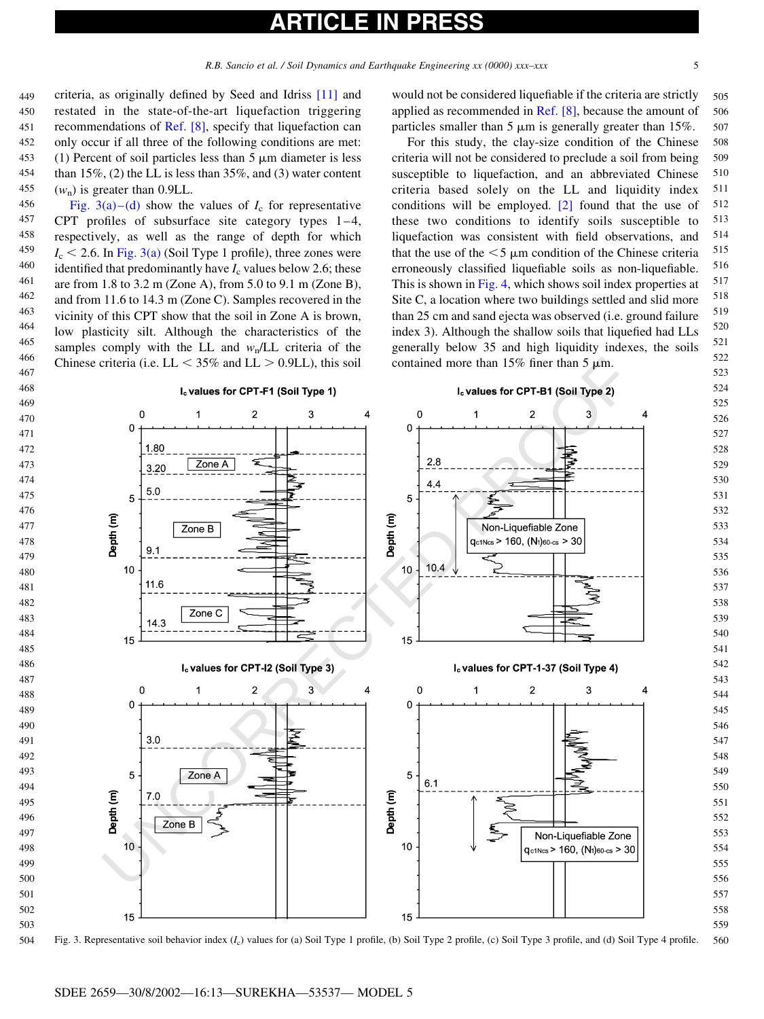## ICLE IN

<span id="page-4-0"></span>criteria, as originally defined by Seed and Idriss [\[11\]](#page-9-0) and restated in the state-of-the-art liquefaction triggering recommendations of [Ref. \[8\]](#page-9-0), specify that liquefaction can only occur if all three of the following conditions are met: (1) Percent of soil particles less than  $5 \mu m$  diameter is less than 15%, (2) the LL is less than 35%, and (3) water content  $(w_n)$  is greater than 0.9LL. 

Fig. 3(a)–(d) show the values of  $I_c$  for representative CPT profiles of subsurface site category types 1–4, respectively, as well as the range of depth for which  $I_c$  < 2.6. In Fig. 3(a) (Soil Type 1 profile), three zones were identified that predominantly have  $I_c$  values below 2.6; these are from 1.8 to 3.2 m (Zone A), from 5.0 to 9.1 m (Zone B), and from 11.6 to 14.3 m (Zone C). Samples recovered in the vicinity of this CPT show that the soil in Zone A is brown, low plasticity silt. Although the characteristics of the samples comply with the LL and  $w<sub>n</sub>/LL$  criteria of the Chinese criteria (i.e.  $LL < 35\%$  and  $LL > 0.9LL$ ), this soil 

would not be considered liquefiable if the criteria are strictly applied as recommended in [Ref. \[8\]](#page-9-0), because the amount of particles smaller than  $5 \mu m$  is generally greater than  $15\%$ . 

For this study, the clay-size condition of the Chinese criteria will not be considered to preclude a soil from being susceptible to liquefaction, and an abbreviated Chinese criteria based solely on the LL and liquidity index conditions will be employed.  $\boxed{2}$  found that the use of these two conditions to identify soils susceptible to liquefaction was consistent with field observations, and that the use of the  $\leq$  5  $\mu$ m condition of the Chinese criteria erroneously classified liquefiable soils as non-liquefiable. This is shown in [Fig. 4,](#page-5-0) which shows soil index properties at Site C, a location where two buildings settled and slid more than 25 cm and sand ejecta was observed (i.e. ground failure index 3). Although the shallow soils that liquefied had LLs generally below 35 and high liquidity indexes, the soils contained more than  $15\%$  finer than  $5 \mu m$ . 



Fig. 3. Representative soil behavior index (I<sub>c</sub>) values for (a) Soil Type 1 profile, (b) Soil Type 2 profile, (c) Soil Type 3 profile, and (d) Soil Type 4 profile.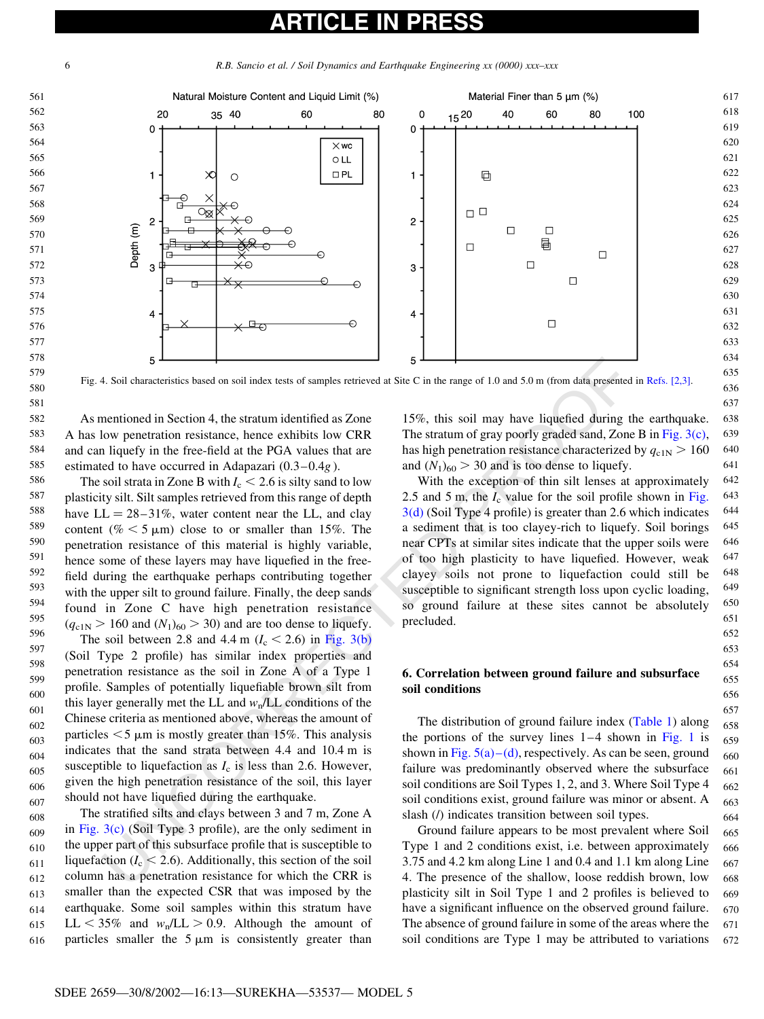<span id="page-5-0"></span>R.B. Sancio et al. / Soil Dynamics and Earthquake Engineering xx (0000) xxx–xxx



Fig. 4. Soil characteristics based on soil index tests of samples retrieved at Site C in the range of 1.0 and 5.0 m (from data presented in [Refs. \[2,3\]](#page-8-0).

As mentioned in Section 4, the stratum identified as Zone A has low penetration resistance, hence exhibits low CRR and can liquefy in the free-field at the PGA values that are estimated to have occurred in Adapazari (0.3–0.4g ).

5<br>
4. Soil external is no solicity that is no solicity that see that the range of 1.0 and 5.0 n (from data presented<br>
and some control on solicity of the stratum identified as Zone<br>
1978. This stratum of gray poorly grade The soil strata in Zone B with  $I_c < 2.6$  is silty sand to low plasticity silt. Silt samples retrieved from this range of depth have  $LL = 28-31\%$ , water content near the LL, and clay content (%  $<$  5  $\mu$ m) close to or smaller than 15%. The penetration resistance of this material is highly variable, hence some of these layers may have liquefied in the freefield during the earthquake perhaps contributing together with the upper silt to ground failure. Finally, the deep sands found in Zone C have high penetration resistance  $(q<sub>c1N</sub> > 160$  and  $(N<sub>1</sub>)<sub>60</sub> > 30)$  and are too dense to liquefy. The soil between 2.8 and 4.4 m ( $I_c < 2.6$ ) in Fig. 3(b) (Soil Type 2 profile) has similar index properties and 

penetration resistance as the soil in Zone A of a Type 1 profile. Samples of potentially liquefiable brown silt from this layer generally met the LL and  $w<sub>n</sub>/LL$  conditions of the Chinese criteria as mentioned above, whereas the amount of particles  $<$  5  $\mu$ m is mostly greater than 15%. This analysis indicates that the sand strata between 4.4 and 10.4 m is susceptible to liquefaction as  $I_c$  is less than 2.6. However, given the high penetration resistance of the soil, this layer should not have liquefied during the earthquake. 

The stratified silts and clays between 3 and 7 m, Zone A in [Fig. 3\(c\)](#page-4-0) (Soil Type 3 profile), are the only sediment in the upper part of this subsurface profile that is susceptible to liquefaction ( $I_c < 2.6$ ). Additionally, this section of the soil column has a penetration resistance for which the CRR is smaller than the expected CSR that was imposed by the earthquake. Some soil samples within this stratum have LL  $<$  35% and  $w_n/L$   $>$  0.9. Although the amount of particles smaller the  $5 \mu m$  is consistently greater than 

15%, this soil may have liquefied during the earthquake. The stratum of gray poorly graded sand, Zone B in [Fig. 3\(c\)](#page-4-0), has high penetration resistance characterized by  $q_{c1N} > 160$ and  $(N_1)_{60} > 30$  and is too dense to liquefy. 

With the exception of thin silt lenses at approximately 2.5 and 5 m, the  $I_c$  value for the soil profile shown in [Fig.](#page-4-0) 3(d) (Soil Type 4 profile) is greater than 2.6 which indicates a sediment that is too clayey-rich to liquefy. Soil borings near CPTs at similar sites indicate that the upper soils were of too high plasticity to have liquefied. However, weak clayey soils not prone to liquefaction could still be susceptible to significant strength loss upon cyclic loading, so ground failure at these sites cannot be absolutely precluded. 

### 6. Correlation between ground failure and subsurface soil conditions

The distribution of ground failure index [\(Table 1](#page-1-0)) along the portions of the survey lines  $1-4$  shown in [Fig. 1](#page-2-0) is shown in Fig.  $5(a) - (d)$ , respectively. As can be seen, ground failure was predominantly observed where the subsurface soil conditions are Soil Types 1, 2, and 3. Where Soil Type 4 soil conditions exist, ground failure was minor or absent. A slash (/) indicates transition between soil types. 

Ground failure appears to be most prevalent where Soil Type 1 and 2 conditions exist, i.e. between approximately 3.75 and 4.2 km along Line 1 and 0.4 and 1.1 km along Line 4. The presence of the shallow, loose reddish brown, low plasticity silt in Soil Type 1 and 2 profiles is believed to have a significant influence on the observed ground failure. The absence of ground failure in some of the areas where the soil conditions are Type 1 may be attributed to variations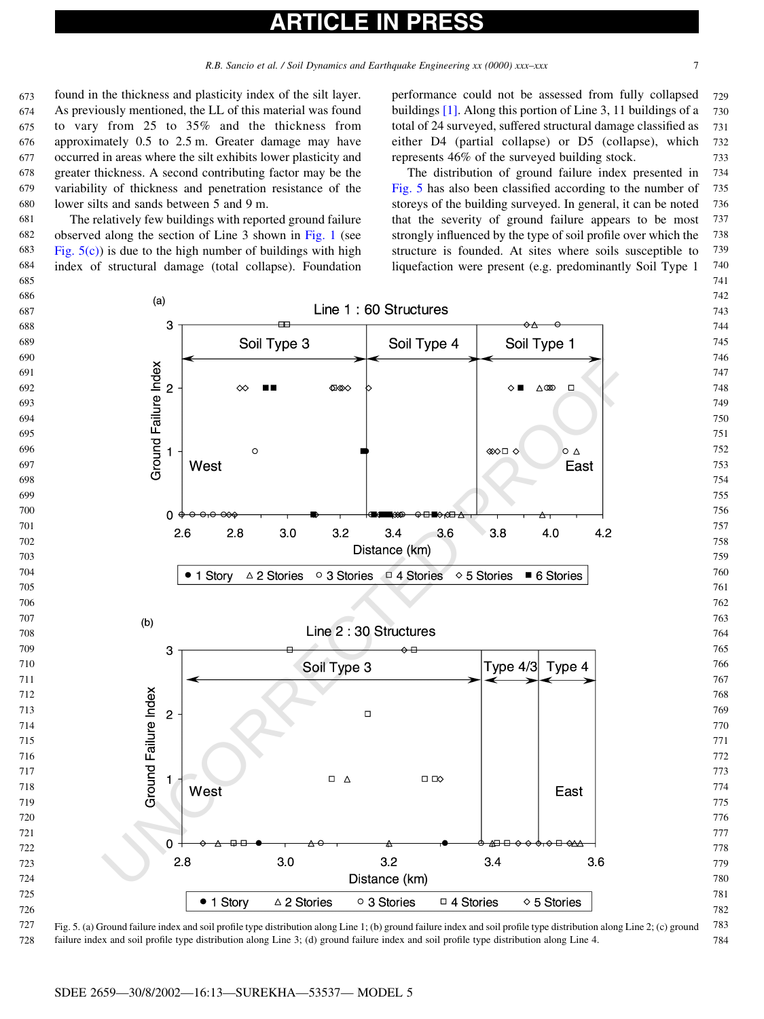## ICLE IN

R.B. Sancio et al. / Soil Dynamics and Earthquake Engineering xx (0000) xxx-xxx 7

<span id="page-6-0"></span>found in the thickness and plasticity index of the silt layer. As previously mentioned, the LL of this material was found to vary from 25 to 35% and the thickness from approximately 0.5 to 2.5 m. Greater damage may have occurred in areas where the silt exhibits lower plasticity and greater thickness. A second contributing factor may be the variability of thickness and penetration resistance of the lower silts and sands between 5 and 9 m. 

The relatively few buildings with reported ground failure observed along the section of Line 3 shown in [Fig. 1](#page-2-0) (see Fig.  $5(c)$ ) is due to the high number of buildings with high index of structural damage (total collapse). Foundation 

performance could not be assessed from fully collapsed buildings [\[1\].](#page-8-0) Along this portion of Line 3, 11 buildings of a total of 24 surveyed, suffered structural damage classified as either D4 (partial collapse) or D5 (collapse), which represents 46% of the surveyed building stock. 

The distribution of ground failure index presented in Fig. 5 has also been classified according to the number of storeys of the building surveyed. In general, it can be noted that the severity of ground failure appears to be most strongly influenced by the type of soil profile over which the structure is founded. At sites where soils susceptible to liquefaction were present (e.g. predominantly Soil Type 1 



Fig. 5. (a) Ground failure index and soil profile type distribution along Line 1; (b) ground failure index and soil profile type distribution along Line 2; (c) ground failure index and soil profile type distribution along Line 3; (d) ground failure index and soil profile type distribution along Line 4.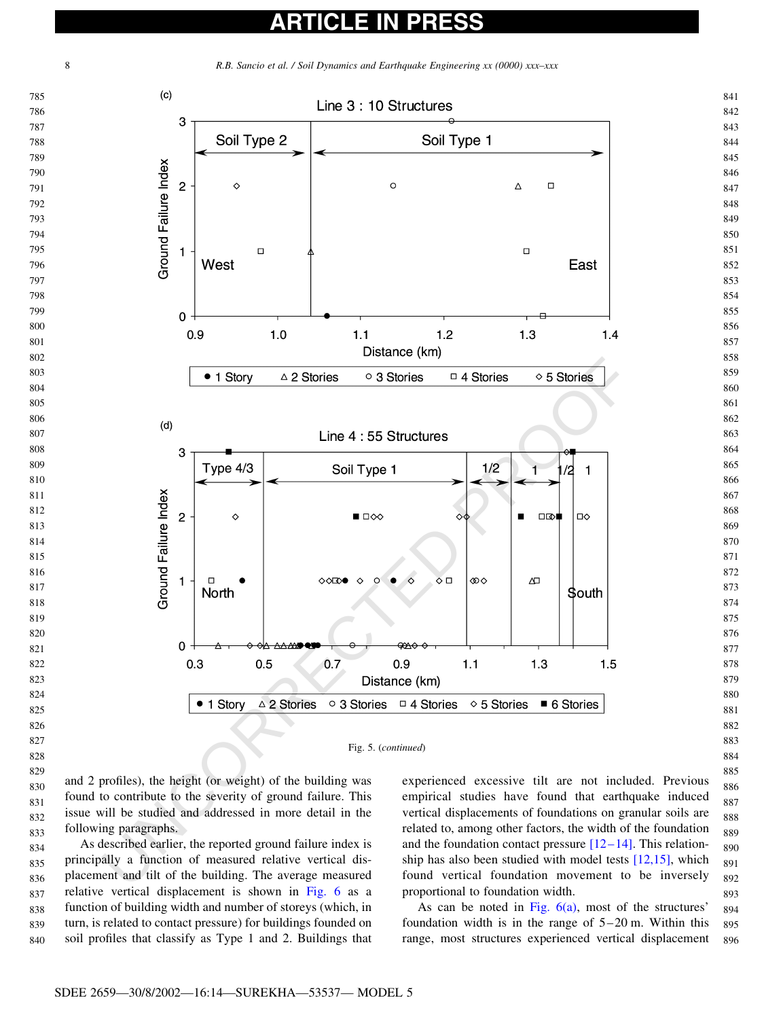



found to contribute to the severity of ground failure. This issue will be studied and addressed in more detail in the following paragraphs. 

As described earlier, the reported ground failure index is principally a function of measured relative vertical displacement and tilt of the building. The average measured relative vertical displacement is shown in [Fig. 6](#page-8-0) as a function of building width and number of storeys (which, in turn, is related to contact pressure) for buildings founded on soil profiles that classify as Type 1 and 2. Buildings that 

empirical studies have found that earthquake induced vertical displacements of foundations on granular soils are related to, among other factors, the width of the foundation and the foundation contact pressure  $[12-14]$ . This relationship has also been studied with model tests  $[12,15]$ , which found vertical foundation movement to be inversely proportional to foundation width. 

As can be noted in Fig.  $6(a)$ , most of the structures' foundation width is in the range of 5–20 m. Within this range, most structures experienced vertical displacement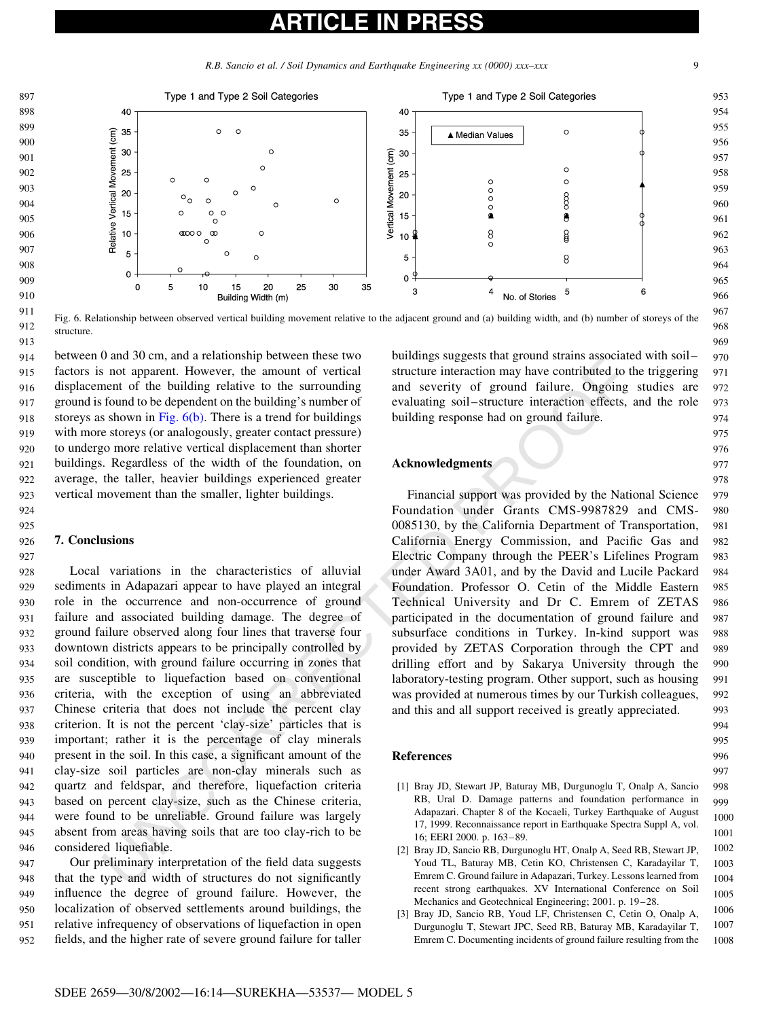R.B. Sancio et al. / Soil Dynamics and Earthquake Engineering xx (0000) xxx-xxx 9

<span id="page-8-0"></span>

Fig. 6. Relationship between observed vertical building movement relative to the adjacent ground and (a) building width, and (b) number of storeys of the structure. 912 913

between 0 and 30 cm, and a relationship between these two factors is not apparent. However, the amount of vertical displacement of the building relative to the surrounding ground is found to be dependent on the building's number of storeys as shown in Fig.  $6(b)$ . There is a trend for buildings with more storeys (or analogously, greater contact pressure) to undergo more relative vertical displacement than shorter buildings. Regardless of the width of the foundation, on average, the taller, heavier buildings experienced greater vertical movement than the smaller, lighter buildings. 914 915 916 917 918 919 920 921 922 923

### 7. Conclusions

In an are parameteristic to the surround of the method of the method of an opporent. However, the amount of vertical structure interaction may have contributed to the four-<br>form and several structure interaction may have Local variations in the characteristics of alluvial sediments in Adapazari appear to have played an integral role in the occurrence and non-occurrence of ground failure and associated building damage. The degree of ground failure observed along four lines that traverse four downtown districts appears to be principally controlled by soil condition, with ground failure occurring in zones that are susceptible to liquefaction based on conventional criteria, with the exception of using an abbreviated Chinese criteria that does not include the percent clay criterion. It is not the percent 'clay-size' particles that is important; rather it is the percentage of clay minerals present in the soil. In this case, a significant amount of the clay-size soil particles are non-clay minerals such as quartz and feldspar, and therefore, liquefaction criteria based on percent clay-size, such as the Chinese criteria, were found to be unreliable. Ground failure was largely absent from areas having soils that are too clay-rich to be considered liquefiable. 928 929 930 931 932 933 934 935 936 937 938 939 940 941 942  $943$ 944 945 946

Our preliminary interpretation of the field data suggests that the type and width of structures do not significantly influence the degree of ground failure. However, the localization of observed settlements around buildings, the relative infrequency of observations of liquefaction in open fields, and the higher rate of severe ground failure for taller 947 948 949 950 951 952

buildings suggests that ground strains associated with soil– structure interaction may have contributed to the triggering and severity of ground failure. Ongoing studies are evaluating soil–structure interaction effects, and the role building response had on ground failure.

#### Acknowledgments

Financial support was provided by the National Science Foundation under Grants CMS-9987829 and CMS-0085130, by the California Department of Transportation, California Energy Commission, and Pacific Gas and Electric Company through the PEER's Lifelines Program under Award 3A01, and by the David and Lucile Packard Foundation. Professor O. Cetin of the Middle Eastern Technical University and Dr C. Emrem of ZETAS participated in the documentation of ground failure and subsurface conditions in Turkey. In-kind support was provided by ZETAS Corporation through the CPT and drilling effort and by Sakarya University through the laboratory-testing program. Other support, such as housing was provided at numerous times by our Turkish colleagues, and this and all support received is greatly appreciated. 979 980 981 982 983 984 985 986 987 988 **989** 990 991 992 993

### References

- [1] Bray JD, Stewart JP, Baturay MB, Durgunoglu T, Onalp A, Sancio RB, Ural D. Damage patterns and foundation performance in Adapazari. Chapter 8 of the Kocaeli. Turkey Earthquake of August 17, 1999. Reconnaissance report in Earthquake Spectra Suppl A, vol. 16; EERI 2000. p. 163–89. 998 **999** 1000 1001
- [2] Bray JD, Sancio RB, Durgunoglu HT, Onalp A, Seed RB, Stewart JP, Youd TL, Baturay MB, Cetin KO, Christensen C, Karadayilar T, Emrem C. Ground failure in Adapazari, Turkey. Lessons learned from recent strong earthquakes. XV International Conference on Soil Mechanics and Geotechnical Engineering; 2001. p. 19–28. 1002 1003 1004 1005
- [3] Bray JD, Sancio RB, Youd LF, Christensen C, Cetin O, Onalp A, Durgunoglu T, Stewart JPC, Seed RB, Baturay MB, Karadayilar T, Emrem C. Documenting incidents of ground failure resulting from the 1006 1007 1008